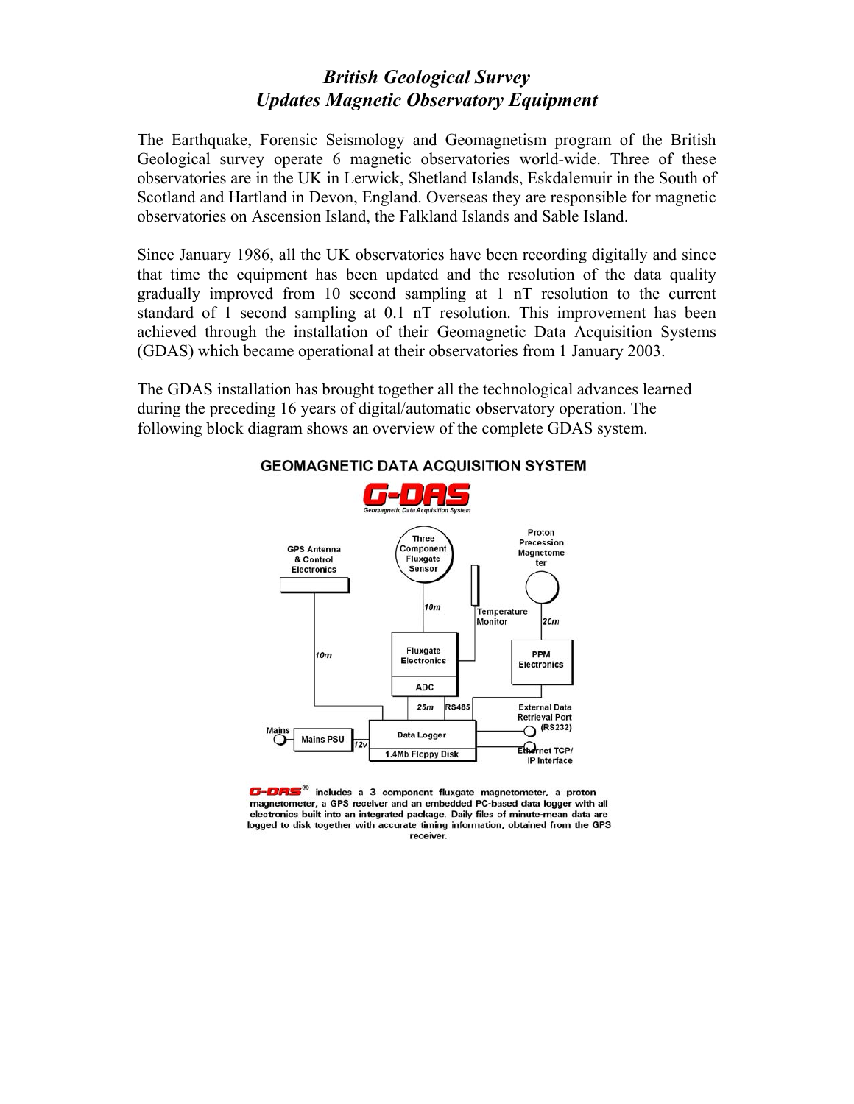## *British Geological Survey Updates Magnetic Observatory Equipment*

The Earthquake, Forensic Seismology and Geomagnetism program of the British Geological survey operate 6 magnetic observatories world-wide. Three of these observatories are in the UK in Lerwick, Shetland Islands, Eskdalemuir in the South of Scotland and Hartland in Devon, England. Overseas they are responsible for magnetic observatories on Ascension Island, the Falkland Islands and Sable Island.

Since January 1986, all the UK observatories have been recording digitally and since that time the equipment has been updated and the resolution of the data quality gradually improved from 10 second sampling at 1 nT resolution to the current standard of 1 second sampling at 0.1 nT resolution. This improvement has been achieved through the installation of their Geomagnetic Data Acquisition Systems (GDAS) which became operational at their observatories from 1 January 2003.

The GDAS installation has brought together all the technological advances learned during the preceding 16 years of digital/automatic observatory operation. The following block diagram shows an overview of the complete GDAS system.



G-DRS<sup>®</sup> includes a 3 component fluxgate magnetometer, a proton magnetometer, a GPS receiver and an embedded PC-based data logger with all electronics built into an integrated package. Daily files of minute-mean data are logged to disk together with accurate timing information, obtained from the GPS receiver.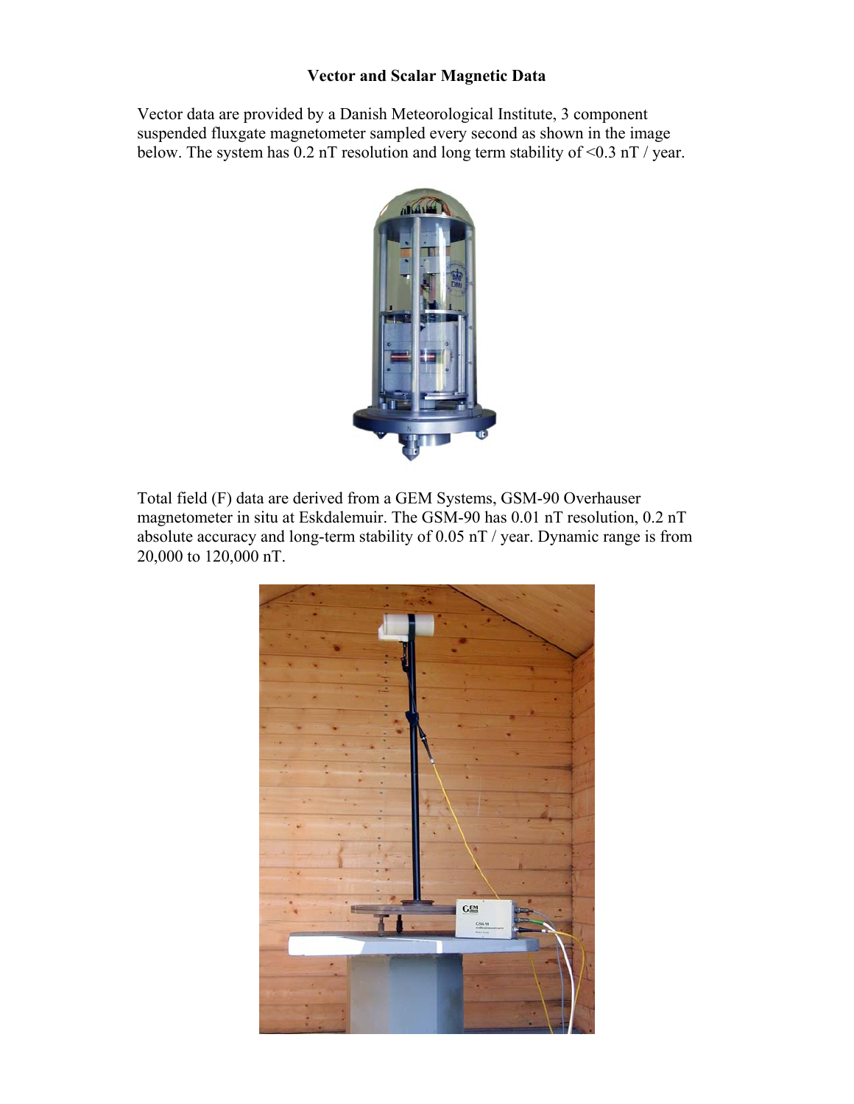## **Vector and Scalar Magnetic Data**

Vector data are provided by a Danish Meteorological Institute, 3 component suspended fluxgate magnetometer sampled every second as shown in the image below. The system has 0.2 nT resolution and long term stability of <0.3 nT / year.



Total field (F) data are derived from a GEM Systems, GSM-90 Overhauser magnetometer in situ at Eskdalemuir. The GSM-90 has 0.01 nT resolution, 0.2 nT absolute accuracy and long-term stability of 0.05 nT / year. Dynamic range is from 20,000 to 120,000 nT.

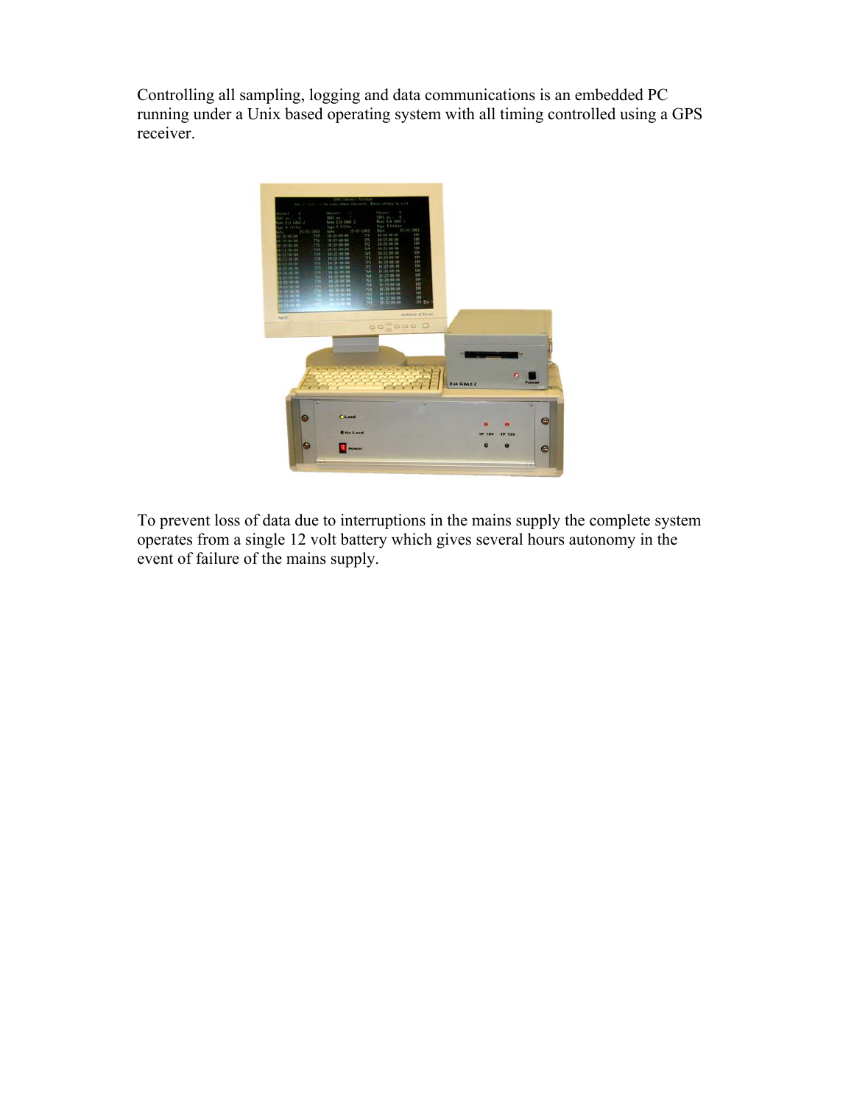Controlling all sampling, logging and data communications is an embedded PC running under a Unix based operating system with all timing controlled using a GPS receiver.



To prevent loss of data due to interruptions in the mains supply the complete system operates from a single 12 volt battery which gives several hours autonomy in the event of failure of the mains supply.